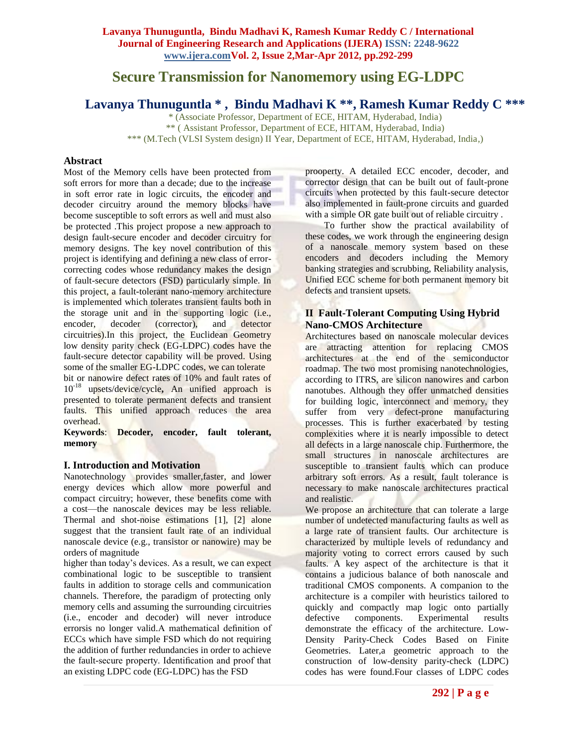# **Secure Transmission for Nanomemory using EG-LDPC**

# **Lavanya Thunuguntla \* , Bindu Madhavi K \*\*, Ramesh Kumar Reddy C \*\*\***

\* (Associate Professor, Department of ECE, HITAM, Hyderabad, India) \*\* ( Assistant Professor, Department of ECE, HITAM, Hyderabad, India) \*\*\* (M.Tech (VLSI System design) II Year, Department of ECE, HITAM, Hyderabad, India,)

# **Abstract**

Most of the Memory cells have been protected from soft errors for more than a decade; due to the increase in soft error rate in logic circuits, the encoder and decoder circuitry around the memory blocks have become susceptible to soft errors as well and must also be protected .This project propose a new approach to design fault-secure encoder and decoder circuitry for memory designs. The key novel contribution of this project is identifying and defining a new class of errorcorrecting codes whose redundancy makes the design of fault-secure detectors (FSD) particularly simple. In this project, a fault-tolerant nano-memory architecture is implemented which tolerates transient faults both in the storage unit and in the supporting logic (i.e., encoder, decoder (corrector), and detector circuitries).In this project, the Euclidean Geometry low density parity check (EG-LDPC) codes have the fault-secure detector capability will be proved. Using some of the smaller EG-LDPC codes, we can tolerate bit or nanowire defect rates of 10% and fault rates of 10-18 upsets/device/cycle**,** An unified approach is presented to tolerate permanent defects and transient faults. This unified approach reduces the area overhead.

**Keywords**: **Decoder, encoder, fault tolerant, memory**

# **I. Introduction and Motivation**

Nanotechnology provides smaller, faster, and lower energy devices which allow more powerful and compact circuitry; however, these benefits come with a cost—the nanoscale devices may be less reliable. Thermal and shot-noise estimations [1], [2] alone suggest that the transient fault rate of an individual nanoscale device (e.g., transistor or nanowire) may be orders of magnitude

higher than today's devices. As a result, we can expect combinational logic to be susceptible to transient faults in addition to storage cells and communication channels. Therefore, the paradigm of protecting only memory cells and assuming the surrounding circuitries (i.e., encoder and decoder) will never introduce errorsis no longer valid.A mathematical definition of ECCs which have simple FSD which do not requiring the addition of further redundancies in order to achieve the fault-secure property. Identification and proof that an existing LDPC code (EG-LDPC) has the FSD

prooperty. A detailed ECC encoder, decoder, and corrector design that can be built out of fault-prone circuits when protected by this fault-secure detector also implemented in fault-prone circuits and guarded with a simple OR gate built out of reliable circuitry.

 To further show the practical availability of these codes, we work through the engineering design of a nanoscale memory system based on these encoders and decoders including the Memory banking strategies and scrubbing, Reliability analysis, Unified ECC scheme for both permanent memory bit defects and transient upsets.

# **II Fault-Tolerant Computing Using Hybrid Nano-CMOS Architecture**

Architectures based on nanoscale molecular devices are attracting attention for replacing CMOS architectures at the end of the semiconductor roadmap. The two most promising nanotechnologies, according to ITRS, are silicon nanowires and carbon nanotubes. Although they offer unmatched densities for building logic, interconnect and memory, they suffer from very defect-prone manufacturing processes. This is further exacerbated by testing complexities where it is nearly impossible to detect all defects in a large nanoscale chip. Furthermore, the small structures in nanoscale architectures are susceptible to transient faults which can produce arbitrary soft errors. As a result, fault tolerance is necessary to make nanoscale architectures practical and realistic.

We propose an architecture that can tolerate a large number of undetected manufacturing faults as well as a large rate of transient faults. Our architecture is characterized by multiple levels of redundancy and majority voting to correct errors caused by such faults. A key aspect of the architecture is that it contains a judicious balance of both nanoscale and traditional CMOS components. A companion to the architecture is a compiler with heuristics tailored to quickly and compactly map logic onto partially defective components. Experimental results demonstrate the efficacy of the architecture. Low-Density Parity-Check Codes Based on Finite Geometries. Later,a geometric approach to the construction of low-density parity-check (LDPC) codes has were found.Four classes of LDPC codes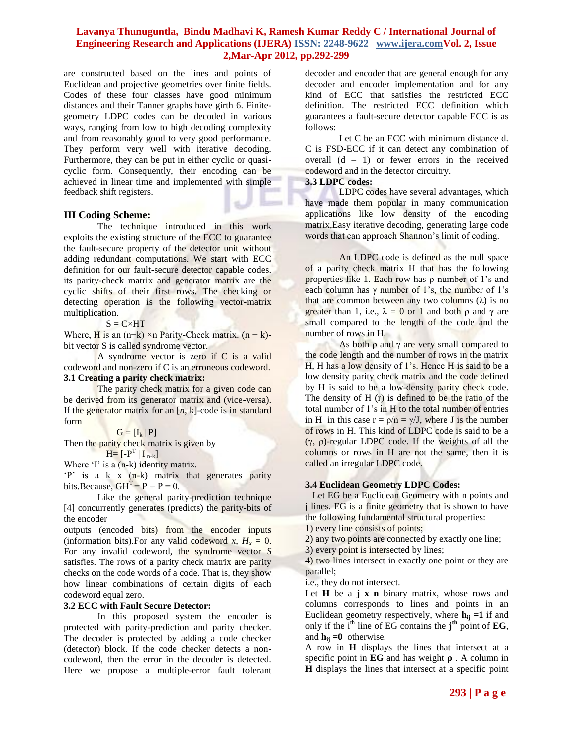are constructed based on the lines and points of Euclidean and projective geometries over finite fields. Codes of these four classes have good minimum distances and their Tanner graphs have girth 6. Finitegeometry LDPC codes can be decoded in various ways, ranging from low to high decoding complexity and from reasonably good to very good performance. They perform very well with iterative decoding. Furthermore, they can be put in either cyclic or quasicyclic form. Consequently, their encoding can be achieved in linear time and implemented with simple feedback shift registers.

#### **III Coding Scheme:**

The technique introduced in this work exploits the existing structure of the ECC to guarantee the fault-secure property of the detector unit without adding redundant computations. We start with ECC definition for our fault-secure detector capable codes. its parity-check matrix and generator matrix are the cyclic shifts of their first rows. The checking or detecting operation is the following vector-matrix multiplication.

 $S = C \times HT$ 

Where, H is an  $(n-k) \times n$  Parity-Check matrix.  $(n-k)$ bit vector S is called syndrome vector.

A syndrome vector is zero if C is a valid codeword and non-zero if C is an erroneous codeword. **3.1 Creating a parity check matrix:**

The parity check matrix for a given code can be derived from its generator matrix and (vice-versa). If the generator matrix for an  $[n, k]$ -code is in standard form

 $G = [I_k | P]$ 

Then the parity check matrix is given by  $H = [-P^T | I_{n-k}]$ 

Where  $\dot{\mathbf{T}}$  is a (n-k) identity matrix.

‗P' is a k x (n-k) matrix that generates parity bits.Because,  $GH^T = P - P = 0$ .

Like the general parity-prediction technique [4] concurrently generates (predicts) the parity-bits of the encoder

outputs (encoded bits) from the encoder inputs (information bits). For any valid codeword *x*,  $H_x = 0$ . For any invalid codeword, the syndrome vector *S*  satisfies. The rows of a parity check matrix are parity checks on the code words of a code. That is, they show how linear combinations of certain digits of each codeword equal zero.

## **3.2 ECC with Fault Secure Detector:**

In this proposed system the encoder is protected with parity-prediction and parity checker. The decoder is protected by adding a code checker (detector) block. If the code checker detects a noncodeword, then the error in the decoder is detected. Here we propose a multiple-error fault tolerant decoder and encoder that are general enough for any decoder and encoder implementation and for any kind of ECC that satisfies the restricted ECC definition. The restricted ECC definition which guarantees a fault-secure detector capable ECC is as follows:

Let C be an ECC with minimum distance d. C is FSD-ECC if it can detect any combination of overall  $(d - 1)$  or fewer errors in the received codeword and in the detector circuitry.

# **3.3 LDPC codes:**

LDPC codes have several advantages, which have made them popular in many communication applications like low density of the encoding matrix,Easy iterative decoding, generating large code words that can approach Shannon's limit of coding.

An LDPC code is defined as the null space of a parity check matrix H that has the following properties like 1. Each row has  $\rho$  number of 1's and each column has  $\gamma$  number of 1's, the number of 1's that are common between any two columns  $(\lambda)$  is no greater than 1, i.e.,  $\lambda = 0$  or 1 and both  $\rho$  and  $\gamma$  are small compared to the length of the code and the number of rows in H.

As both  $\rho$  and  $\gamma$  are very small compared to the code length and the number of rows in the matrix H, H has a low density of 1's. Hence H is said to be a low density parity check matrix and the code defined by H is said to be a low-density parity check code. The density of H (r) is defined to be the ratio of the total number of 1's in H to the total number of entries in H in this case  $r = \rho/n = \gamma/J$ , where J is the number of rows in H. This kind of LDPC code is said to be a (γ, ρ)-regular LDPC code. If the weights of all the columns or rows in H are not the same, then it is called an irregular LDPC code.

## **3.4 Euclidean Geometry LDPC Codes:**

 Let EG be a Euclidean Geometry with n points and j lines. EG is a finite geometry that is shown to have the following fundamental structural properties:

1) every line consists of points;

2) any two points are connected by exactly one line;

3) every point is intersected by lines;

4) two lines intersect in exactly one point or they are parallel;

i.e., they do not intersect.

Let **H** be a **j x n** binary matrix, whose rows and columns corresponds to lines and points in an Euclidean geometry respectively, where  $h_{ii} = 1$  if and only if the  $i^{\text{th}}$  line of EG contains the  $j^{\text{th}}$  point of EG, and  $\mathbf{h}_{ii} = 0$  otherwise.

A row in **H** displays the lines that intersect at a specific point in **EG** and has weight **ρ** . A column in **H** displays the lines that intersect at a specific point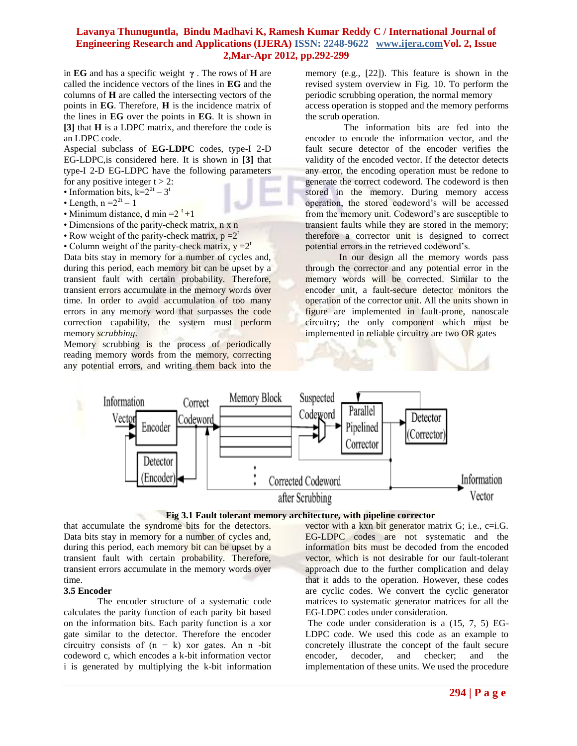in **EG** and has a specific weight **γ** . The rows of **H** are called the incidence vectors of the lines in **EG** and the columns of **H** are called the intersecting vectors of the points in **EG**. Therefore, **H** is the incidence matrix of the lines in **EG** over the points in **EG**. It is shown in **[3]** that **H** is a LDPC matrix, and therefore the code is an LDPC code.

Aspecial subclass of **EG-LDPC** codes, type-I 2-D EG-LDPC,is considered here. It is shown in **[3]** that type-I 2-D EG-LDPC have the following parameters for any positive integer  $t > 2$ :

- Information bits,  $k=2^{2t}-3^t$
- Length,  $n = 2^{2t} 1$
- Minimum distance, d min  $=2^{t}+1$
- Dimensions of the parity-check matrix, n x n
- Row weight of the parity-check matrix,  $p = 2<sup>t</sup>$
- Column weight of the parity-check matrix,  $y = 2^t$

Data bits stay in memory for a number of cycles and, during this period, each memory bit can be upset by a transient fault with certain probability. Therefore, transient errors accumulate in the memory words over time. In order to avoid accumulation of too many errors in any memory word that surpasses the code correction capability, the system must perform memory *scrubbing*.

Memory scrubbing is the process of periodically reading memory words from the memory, correcting any potential errors, and writing them back into the memory (e.g., [22]). This feature is shown in the revised system overview in Fig. 10. To perform the periodic scrubbing operation, the normal memory access operation is stopped and the memory performs the scrub operation.

 The information bits are fed into the encoder to encode the information vector, and the fault secure detector of the encoder verifies the validity of the encoded vector. If the detector detects any error, the encoding operation must be redone to generate the correct codeword. The codeword is then stored in the memory. During memory access operation, the stored codeword's will be accessed from the memory unit. Codeword's are susceptible to transient faults while they are stored in the memory; therefore a corrector unit is designed to correct potential errors in the retrieved codeword's.

In our design all the memory words pass through the corrector and any potential error in the memory words will be corrected. Similar to the encoder unit, a fault-secure detector monitors the operation of the corrector unit. All the units shown in figure are implemented in fault-prone, nanoscale circuitry; the only component which must be implemented in reliable circuitry are two OR gates





that accumulate the syndrome bits for the detectors. Data bits stay in memory for a number of cycles and, during this period, each memory bit can be upset by a transient fault with certain probability. Therefore, transient errors accumulate in the memory words over time.

#### **3.5 Encoder**

The encoder structure of a systematic code calculates the parity function of each parity bit based on the information bits. Each parity function is a xor gate similar to the detector. Therefore the encoder circuitry consists of  $(n - k)$  xor gates. An n -bit codeword c, which encodes a k-bit information vector i is generated by multiplying the k-bit information

vector with a kxn bit generator matrix G; i.e., c=i.G. EG-LDPC codes are not systematic and the information bits must be decoded from the encoded vector, which is not desirable for our fault-tolerant approach due to the further complication and delay that it adds to the operation. However, these codes are cyclic codes. We convert the cyclic generator matrices to systematic generator matrices for all the EG-LDPC codes under consideration.

The code under consideration is a (15, 7, 5) EG-LDPC code. We used this code as an example to concretely illustrate the concept of the fault secure encoder, decoder, and checker; and the implementation of these units. We used the procedure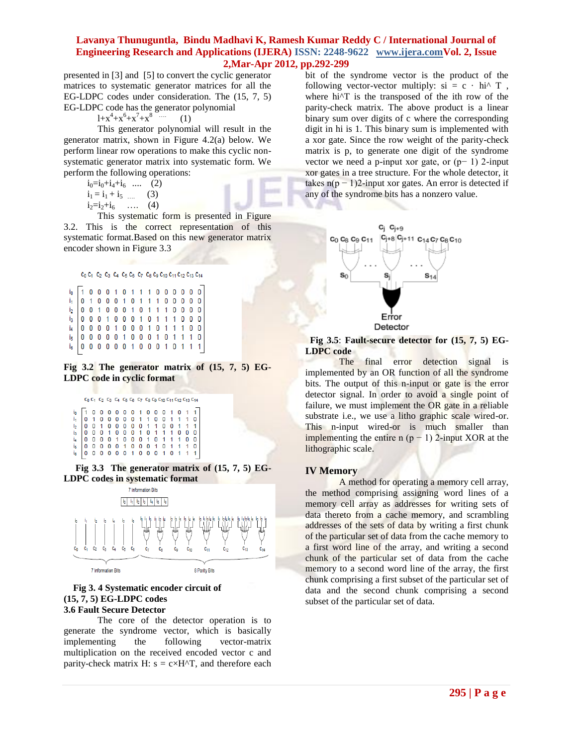presented in [3] and [5] to convert the cyclic generator matrices to systematic generator matrices for all the EG-LDPC codes under consideration. The (15, 7, 5) EG-LDPC code has the generator polynomial

$$
1 + x^4 + x^6 + x^7 + x^8 \dots (1)
$$

This generator polynomial will result in the generator matrix, shown in Figure 4.2(a) below. We perform linear row operations to make this cyclic nonsystematic generator matrix into systematic form. We perform the following operations:

 $i_0=i_0+i_4+i_6$  .... (2)  $i_1 = i_1 + i_5$  (3)  $i_2=i_2+i_6$  …. (4)

This systematic form is presented in Figure 3.2. This is the correct representation of this systematic format.Based on this new generator matrix encoder shown in Figure 3.3

#### Co C<sub>1</sub> C<sub>2</sub> C<sub>3</sub> C<sub>4</sub> C<sub>5</sub> C<sub>6</sub> C<sub>7</sub> C<sub>8</sub> C<sub>9</sub> C<sub>10</sub> C<sub>11</sub> C<sub>12</sub> C<sub>13</sub> C<sub>14</sub>

|                                              |  |  |  |  |  |  | $\begin{bmatrix} 1 & 0 & 0 & 0 & 1 & 0 & 1 & 1 & 1 & 0 & 0 & 0 & 0 & 0 \\ 1_1 & 0 & 1 & 0 & 0 & 0 & 1 & 0 & 1 & 1 & 1 & 0 & 0 & 0 & 0 \\ 0 & 0 & 0 & 0 & 0 & 0 & 0 & 1 & 0 & 1 & 1 & 0 & 0 & 0 & 0 \\ 0 & 0 & 0 & 0 & 0 & 0 & 0 & 0 & 0 & 0 & 0 & 0 \\ 0 & 0 & 0 & 0 & 0 & 0 & 0 & 0 & 0 & 0 & 0 & 0 \\ 0 & 0 & 0$ |
|----------------------------------------------|--|--|--|--|--|--|--------------------------------------------------------------------------------------------------------------------------------------------------------------------------------------------------------------------------------------------------------------------------------------------------------------------|
|                                              |  |  |  |  |  |  |                                                                                                                                                                                                                                                                                                                    |
|                                              |  |  |  |  |  |  | $i_2$ 0 0 1 0 0 0 1 0 1 1 1 0 0 0 0                                                                                                                                                                                                                                                                                |
| $i_3$ 0 0 0 1 0 0 0 1 0 1 1 1 0 0 0          |  |  |  |  |  |  |                                                                                                                                                                                                                                                                                                                    |
| i <sub>4</sub> 0 0 0 0 1 0 0 0 1 0 1 1 1 0 0 |  |  |  |  |  |  |                                                                                                                                                                                                                                                                                                                    |
| $i_5$ 0 0 0 0 0 1 0 0 0 1 0 1 1 1 0          |  |  |  |  |  |  |                                                                                                                                                                                                                                                                                                                    |
| $i_6$ 0 0 0 0 0 0 1 0 0 0 1 0 1 1 1          |  |  |  |  |  |  |                                                                                                                                                                                                                                                                                                                    |
|                                              |  |  |  |  |  |  |                                                                                                                                                                                                                                                                                                                    |

**Fig 3.2 The generator matrix of (15, 7, 5) EG-LDPC code in cyclic format**

|  |  |  |  |  |  | Co C <sub>1</sub> C <sub>2</sub> C <sub>3</sub> C <sub>4</sub> C <sub>5</sub> C <sub>6</sub> C <sub>7</sub> C <sub>8</sub> C <sub>9</sub> C <sub>10</sub> C <sub>11</sub> C <sub>12</sub> C <sub>13</sub> C <sub>14</sub> |                                                                                                                                                                                                                                                                                                                           |  |
|--|--|--|--|--|--|---------------------------------------------------------------------------------------------------------------------------------------------------------------------------------------------------------------------------|---------------------------------------------------------------------------------------------------------------------------------------------------------------------------------------------------------------------------------------------------------------------------------------------------------------------------|--|
|  |  |  |  |  |  |                                                                                                                                                                                                                           | $\begin{array}{cccccccccccc} i_0 & 1 & 0 & 0 & 0 & 0 & 0 & 0 & 1 & 0 & 0 & 0 & 1 & 0 & 1 & 1\\ i_1 & 0 & 1 & 0 & 0 & 0 & 0 & 0 & 1 & 1 & 0 & 0 & 1 & 1 & 1 & 0\\ i_2 & 0 & 0 & 1 & 0 & 0 & 0 & 0 & 0 & 1 & 1 & 0 & 0 & 1 & 1 & 1\\ i_3 & 0 & 0 & 0 & 1 & 0 & 0 & 0 & 1 & 0 & 1 & 1 & 1 & 0 & 0\\ i_4 & 0 & 0 & 0 & 0 & 0$ |  |
|  |  |  |  |  |  |                                                                                                                                                                                                                           |                                                                                                                                                                                                                                                                                                                           |  |
|  |  |  |  |  |  |                                                                                                                                                                                                                           |                                                                                                                                                                                                                                                                                                                           |  |
|  |  |  |  |  |  |                                                                                                                                                                                                                           |                                                                                                                                                                                                                                                                                                                           |  |
|  |  |  |  |  |  |                                                                                                                                                                                                                           |                                                                                                                                                                                                                                                                                                                           |  |
|  |  |  |  |  |  |                                                                                                                                                                                                                           |                                                                                                                                                                                                                                                                                                                           |  |
|  |  |  |  |  |  |                                                                                                                                                                                                                           |                                                                                                                                                                                                                                                                                                                           |  |

 **Fig 3.3 The generator matrix of (15, 7, 5) EG-LDPC codes in systematic format**



#### **Fig 3. 4 Systematic encoder circuit of (15, 7, 5) EG-LDPC codes 3.6 Fault Secure Detector**

The core of the detector operation is to generate the syndrome vector, which is basically implementing the following vector-matrix multiplication on the received encoded vector c and parity-check matrix H:  $s = c \times H^T$ , and therefore each

bit of the syndrome vector is the product of the following vector-vector multiply:  $si = c \cdot hi^{\wedge} T$ , where hi<sup> $\wedge$ </sup>T is the transposed of the ith row of the parity-check matrix. The above product is a linear binary sum over digits of c where the corresponding digit in hi is 1. This binary sum is implemented with a xor gate. Since the row weight of the parity-check matrix is p, to generate one digit of the syndrome vector we need a p-input xor gate, or (p− 1) 2-input xor gates in a tree structure. For the whole detector, it takes  $n(p − 1)2$ -input xor gates. An error is detected if any of the syndrome bits has a nonzero value.



 **Fig 3.5**: **Fault-secure detector for (15, 7, 5) EG-LDPC code**

The final error detection signal is implemented by an OR function of all the syndrome bits. The output of this n-input or gate is the error detector signal. In order to avoid a single point of failure, we must implement the OR gate in a reliable substrate i.e., we use a litho graphic scale wired-or. This n-input wired-or is much smaller than implementing the entire n  $(p - 1)$  2-input XOR at the lithographic scale.

## **IV Memory**

A method for operating a memory cell array, the method comprising assigning word lines of a memory cell array as addresses for writing sets of data thereto from a cache memory, and scrambling addresses of the sets of data by writing a first chunk of the particular set of data from the cache memory to a first word line of the array, and writing a second chunk of the particular set of data from the cache memory to a second word line of the array, the first chunk comprising a first subset of the particular set of data and the second chunk comprising a second subset of the particular set of data.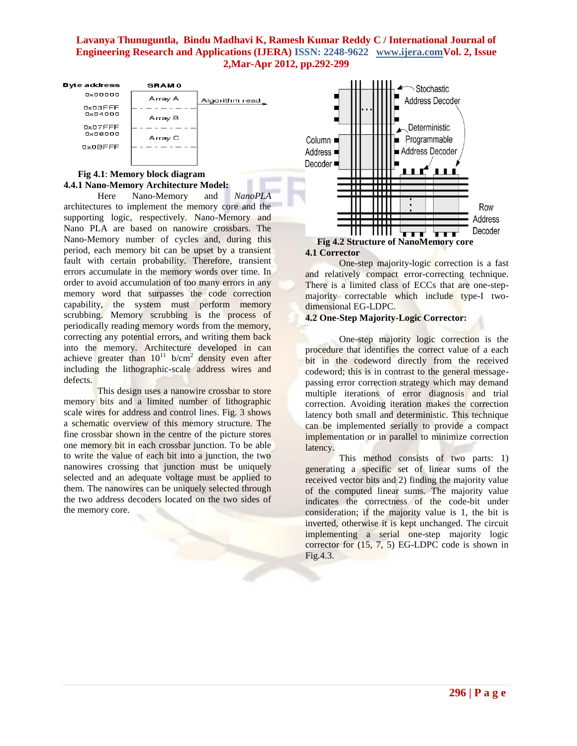| <b>Byte address</b> | <b>SRAM0</b> |                |
|---------------------|--------------|----------------|
| 0x00000             | Array A      | Algorithm read |
| $0x03$ FFF          |              |                |
| 0x04000             | Array B      |                |
| 0x07FFF             |              |                |
| 0x08000             | Array C      |                |
| 0x0BFFF             |              |                |
|                     |              |                |

# **Fig 4.1**: **Memory block diagram 4.4.1 Nano-Memory Architecture Model:**

Here Nano-Memory and *NanoPLA*  architectures to implement the memory core and the supporting logic, respectively. Nano-Memory and Nano PLA are based on nanowire crossbars. The Nano-Memory number of cycles and, during this period, each memory bit can be upset by a transient fault with certain probability. Therefore, transient errors accumulate in the memory words over time. In order to avoid accumulation of too many errors in any memory word that surpasses the code correction capability, the system must perform memory scrubbing. Memory scrubbing is the process of periodically reading memory words from the memory, correcting any potential errors, and writing them back into the memory. Architecture developed in can achieve greater than  $10^{11}$  b/cm<sup>2</sup> density even after including the lithographic-scale address wires and defects.

This design uses a nanowire crossbar to store memory bits and a limited number of lithographic scale wires for address and control lines. Fig. 3 shows a schematic overview of this memory structure. The fine crossbar shown in the centre of the picture stores one memory bit in each crossbar junction. To be able to write the value of each bit into a junction, the two nanowires crossing that junction must be uniquely selected and an adequate voltage must be applied to them. The nanowires can be uniquely selected through the two address decoders located on the two sides of the memory core.



# **4.1 Corrector**

One-step majority-logic correction is a fast and relatively compact error-correcting technique. There is a limited class of ECCs that are one-stepmajority correctable which include type-I twodimensional EG-LDPC.

#### **4.2 One-Step Majority-Logic Corrector:**

One-step majority logic correction is the procedure that identifies the correct value of a each bit in the codeword directly from the received codeword; this is in contrast to the general messagepassing error correction strategy which may demand multiple iterations of error diagnosis and trial correction. Avoiding iteration makes the correction latency both small and deterministic. This technique can be implemented serially to provide a compact implementation or in parallel to minimize correction latency.

This method consists of two parts: 1) generating a specific set of linear sums of the received vector bits and 2) finding the majority value of the computed linear sums. The majority value indicates the correctness of the code-bit under consideration; if the majority value is 1, the bit is inverted, otherwise it is kept unchanged. The circuit implementing a serial one-step majority logic corrector for  $(15, 7, 5)$  EG-LDPC code is shown in Fig.4.3.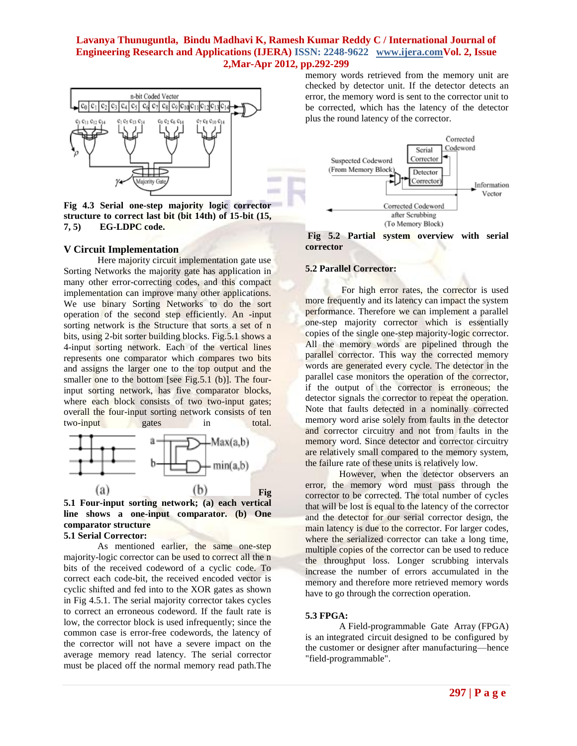

**Fig 4.3 Serial one-step majority logic corrector structure to correct last bit (bit 14th) of 15-bit (15, 7, 5) EG-LDPC code.**

#### **V Circuit Implementation**

Here majority circuit implementation gate use Sorting Networks the majority gate has application in many other error-correcting codes, and this compact implementation can improve many other applications. We use binary Sorting Networks to do the sort operation of the second step efficiently. An -input sorting network is the Structure that sorts a set of n bits, using 2-bit sorter building blocks. Fig.5.1 shows a 4-input sorting network. Each of the vertical lines represents one comparator which compares two bits and assigns the larger one to the top output and the smaller one to the bottom [see Fig.5.1 (b)]. The fourinput sorting network, has five comparator blocks, where each block consists of two two-input gates; overall the four-input sorting network consists of ten two-input gates in total.



**5.1 Four-input sorting network; (a) each vertical line shows a one-input comparator. (b) One comparator structure**

#### **5.1 Serial Corrector:**

As mentioned earlier, the same one-step majority-logic corrector can be used to correct all the n bits of the received codeword of a cyclic code. To correct each code-bit, the received encoded vector is cyclic shifted and fed into to the XOR gates as shown in Fig 4.5.1. The serial majority corrector takes cycles to correct an erroneous codeword. If the fault rate is low, the corrector block is used infrequently; since the common case is error-free codewords, the latency of the corrector will not have a severe impact on the average memory read latency. The serial corrector must be placed off the normal memory read path.The

memory words retrieved from the memory unit are checked by detector unit. If the detector detects an error, the memory word is sent to the corrector unit to be corrected, which has the latency of the detector plus the round latency of the corrector.



**Fig 5.2 Partial system overview with serial corrector**

#### **5.2 Parallel Corrector:**

For high error rates, the corrector is used more frequently and its latency can impact the system performance. Therefore we can implement a parallel one-step majority corrector which is essentially copies of the single one-step majority-logic corrector. All the memory words are pipelined through the parallel corrector. This way the corrected memory words are generated every cycle. The detector in the parallel case monitors the operation of the corrector, if the output of the corrector is erroneous; the detector signals the corrector to repeat the operation. Note that faults detected in a nominally corrected memory word arise solely from faults in the detector and corrector circuitry and not from faults in the memory word. Since detector and corrector circuitry are relatively small compared to the memory system, the failure rate of these units is relatively low.

However, when the detector observers an error, the memory word must pass through the corrector to be corrected. The total number of cycles that will be lost is equal to the latency of the corrector and the detector for our serial corrector design, the main latency is due to the corrector. For larger codes, where the serialized corrector can take a long time, multiple copies of the corrector can be used to reduce the throughput loss. Longer scrubbing intervals increase the number of errors accumulated in the memory and therefore more retrieved memory words have to go through the correction operation.

#### **5.3 FPGA:**

A Field-programmable Gate Array (FPGA) is an [integrated circuit](http://en.wikipedia.org/wiki/Integrated_circuit) designed to be configured by the customer or designer after manufacturing—hence ["field-programmable"](http://en.wikipedia.org/wiki/Field-programmable).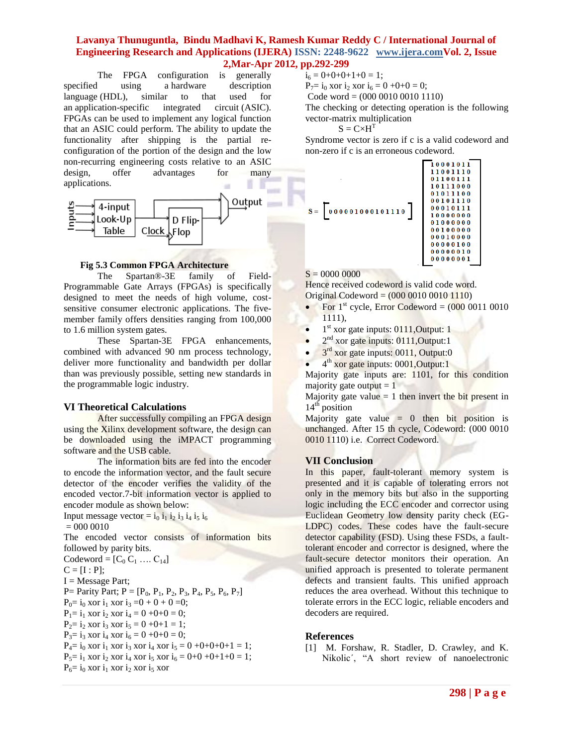The FPGA configuration is generally specified using a [hardware description](http://en.wikipedia.org/wiki/Hardware_description_language)  [language](http://en.wikipedia.org/wiki/Hardware_description_language) (HDL), similar to that used for an [application-specific integrated circuit](http://en.wikipedia.org/wiki/Application-specific_integrated_circuit) (ASIC). FPGAs can be used to implement any logical function that an ASIC could perform. The ability to update the functionality after shipping is the [partial re](http://en.wikipedia.org/wiki/Partial_re-configuration)[configuration](http://en.wikipedia.org/wiki/Partial_re-configuration) of the portion of the design and the low non-recurring engineering costs relative to an ASIC design, offer advantages for many applications. ä



#### **Fig 5.3 Common FPGA Architecture**

The Spartan®-3E family of Field-Programmable Gate Arrays (FPGAs) is specifically designed to meet the needs of high volume, costsensitive consumer electronic applications. The fivemember family offers densities ranging from 100,000 to 1.6 million system gates.

These Spartan-3E FPGA enhancements, combined with advanced 90 nm process technology, deliver more functionality and bandwidth per dollar than was previously possible, setting new standards in the programmable logic industry.

## **VI Theoretical Calculations**

After successfully compiling an FPGA design using the Xilinx development software, the design can be downloaded using the iMPACT programming software and the USB cable.

The information bits are fed into the encoder to encode the information vector, and the fault secure detector of the encoder verifies the validity of the encoded vector.7-bit information vector is applied to encoder module as shown below:

Input message vector =  $i_0$   $i_1$   $i_2$   $i_3$   $i_4$   $i_5$   $i_6$  $= 000 0010$ 

The encoded vector consists of information bits followed by parity bits.

 $Codeword = [C_0 C_1 ... C_{14}]$  $C = [I : P];$  $I = Message Part;$ P = Parity Part; P =  $[P_0, P_1, P_2, P_3, P_4, P_5, P_6, P_7]$  $P_0= i_0$  xor  $i_1$  xor  $i_3 =0+0+0=0$ ;  $P_1 = i_1$  xor  $i_2$  xor  $i_4 = 0 + 0 + 0 = 0$ ;  $P_2 = i_2$  xor  $i_3$  xor  $i_5 = 0 + 0 + 1 = 1$ ;  $P_3 = i_3$  xor  $i_4$  xor  $i_6 = 0 + 0 + 0 = 0$ ;  $P_4$ = i<sub>0</sub> xor i<sub>1</sub> xor i<sub>3</sub> xor i<sub>4</sub> xor i<sub>5</sub> = 0 +0+0+0+1 = 1;  $P_5 = i_1$  xor  $i_2$  xor  $i_4$  xor  $i_5$  xor  $i_6 = 0+0+0+1+0 = 1$ ;  $P_6 = i_0$  xor  $i_1$  xor  $i_2$  xor  $i_5$  xor

 $\overline{i_{6}} = 0+0+0+1+0=1$ ;

$$
u_6 = 0 + 0 + 0 + 1 + 0 = 1,
$$
  
0  $u_6 = 0$ 

 $P_7= i_0$  xor  $i_2$  xor  $i_6 = 0 +0+0 = 0$ ;

Code word = (000 0010 0010 1110)

The checking or detecting operation is the following vector-matrix multiplication

 $S = C \times H^{T}$ 

Syndrome vector is zero if c is a valid codeword and non-zero if c is an erroneous codeword.

$$
= \begin{bmatrix} 0 & 0 & 0 & 0 & 0 & 0 & 0 & 0 & 0 & 1 & 1 & 1 & 0 \\ 0 & 0 & 0 & 0 & 0 & 0 & 0 & 0 & 0 & 1 & 1 & 1 & 0 \\ 0 & 0 & 0 & 0 & 0 & 0 & 0 & 0 & 1 & 1 & 1 & 0 \end{bmatrix}
$$

#### $S = 0000 0000$

Hence received codeword is valid code word. Original Codeword = (000 0010 0010 1110)

- For  $1^{\text{st}}$  cycle, Error Codeword = (000 0011 0010 1111),
- $\bullet$  1<sup>st</sup> xor gate inputs: 0111, Output: 1
- $2<sup>nd</sup>$  xor gate inputs: 0111, Output: 1
- $\bullet$   $3^{rd}$  xor gate inputs: 0011, Output:0
- $\bullet$  4<sup>th</sup> xor gate inputs: 0001, Output: 1

Majority gate inputs are: 1101, for this condition majority gate output  $= 1$ 

Majority gate value  $= 1$  then invert the bit present in  $14<sup>th</sup>$  position

Majority gate value  $= 0$  then bit position is unchanged. After 15 th cycle, Codeword: (000 0010 0010 1110) i.e. Correct Codeword.

## **VII Conclusion**

In this paper, fault-tolerant memory system is presented and it is capable of tolerating errors not only in the memory bits but also in the supporting logic including the ECC encoder and corrector using Euclidean Geometry low density parity check (EG-LDPC) codes. These codes have the fault-secure detector capability (FSD). Using these FSDs, a faulttolerant encoder and corrector is designed, where the fault-secure detector monitors their operation. An unified approach is presented to tolerate permanent defects and transient faults. This unified approach reduces the area overhead. Without this technique to tolerate errors in the ECC logic, reliable encoders and decoders are required.

#### **References**

[1] M. Forshaw, R. Stadler, D. Crawley, and K. Nikolic', "A short review of nanoelectronic